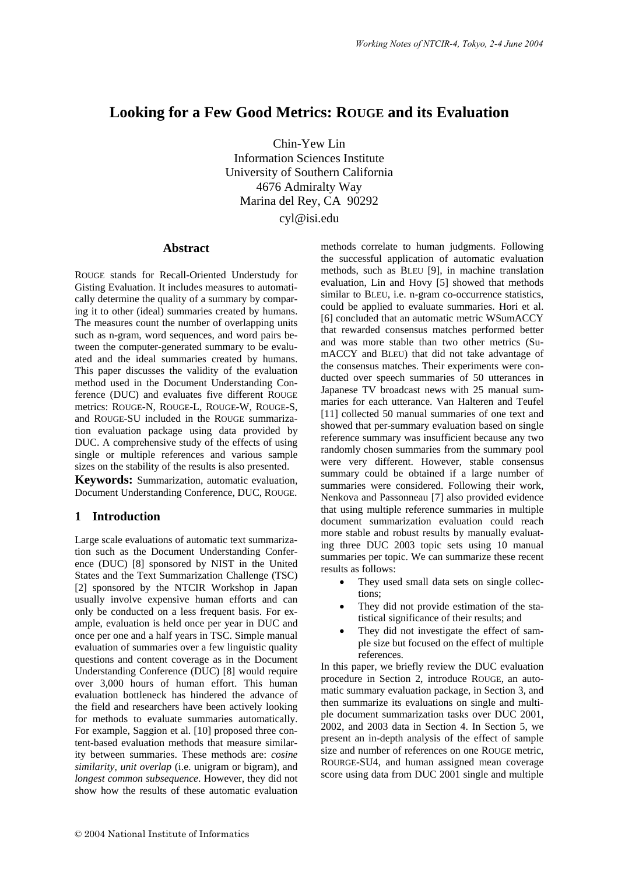# **Looking for a Few Good Metrics: ROUGE and its Evaluation**

Chin-Yew Lin Information Sciences Institute University of Southern California 4676 Admiralty Way Marina del Rey, CA 90292

cyl@isi.edu

## **Abstract**

ROUGE stands for Recall-Oriented Understudy for Gisting Evaluation. It includes measures to automatically determine the quality of a summary by comparing it to other (ideal) summaries created by humans. The measures count the number of overlapping units such as n-gram, word sequences, and word pairs between the computer-generated summary to be evaluated and the ideal summaries created by humans. This paper discusses the validity of the evaluation method used in the Document Understanding Conference (DUC) and evaluates five different ROUGE metrics: ROUGE-N, ROUGE-L, ROUGE-W, ROUGE-S, and ROUGE-SU included in the ROUGE summarization evaluation package using data provided by DUC. A comprehensive study of the effects of using single or multiple references and various sample sizes on the stability of the results is also presented.

**Keywords:** Summarization, automatic evaluation, Document Understanding Conference, DUC, ROUGE.

## **1 Introduction**

Large scale evaluations of automatic text summarization such as the Document Understanding Conference (DUC) [8] sponsored by NIST in the United States and the Text Summarization Challenge (TSC) [2] sponsored by the NTCIR Workshop in Japan usually involve expensive human efforts and can only be conducted on a less frequent basis. For example, evaluation is held once per year in DUC and once per one and a half years in TSC. Simple manual evaluation of summaries over a few linguistic quality questions and content coverage as in the Document Understanding Conference (DUC) [8] would require over 3,000 hours of human effort. This human evaluation bottleneck has hindered the advance of the field and researchers have been actively looking for methods to evaluate summaries automatically. For example, Saggion et al. [10] proposed three content-based evaluation methods that measure similarity between summaries. These methods are: *cosine similarity*, *unit overlap* (i.e. unigram or bigram), and *longest common subsequence*. However, they did not show how the results of these automatic evaluation

methods correlate to human judgments. Following the successful application of automatic evaluation methods, such as BLEU [9], in machine translation evaluation, Lin and Hovy [5] showed that methods similar to BLEU, i.e. n-gram co-occurrence statistics, could be applied to evaluate summaries. Hori et al. [6] concluded that an automatic metric WSumACCY that rewarded consensus matches performed better and was more stable than two other metrics (SumACCY and BLEU) that did not take advantage of the consensus matches. Their experiments were conducted over speech summaries of 50 utterances in Japanese TV broadcast news with 25 manual summaries for each utterance. Van Halteren and Teufel [11] collected 50 manual summaries of one text and showed that per-summary evaluation based on single reference summary was insufficient because any two randomly chosen summaries from the summary pool were very different. However, stable consensus summary could be obtained if a large number of summaries were considered. Following their work, Nenkova and Passonneau [7] also provided evidence that using multiple reference summaries in multiple document summarization evaluation could reach more stable and robust results by manually evaluating three DUC 2003 topic sets using 10 manual summaries per topic. We can summarize these recent results as follows:

- They used small data sets on single collections;
- They did not provide estimation of the statistical significance of their results; and
- They did not investigate the effect of sample size but focused on the effect of multiple references.

In this paper, we briefly review the DUC evaluation procedure in Section 2, introduce ROUGE, an automatic summary evaluation package, in Section 3, and then summarize its evaluations on single and multiple document summarization tasks over DUC 2001, 2002, and 2003 data in Section 4. In Section 5, we present an in-depth analysis of the effect of sample size and number of references on one ROUGE metric, ROURGE-SU4, and human assigned mean coverage score using data from DUC 2001 single and multiple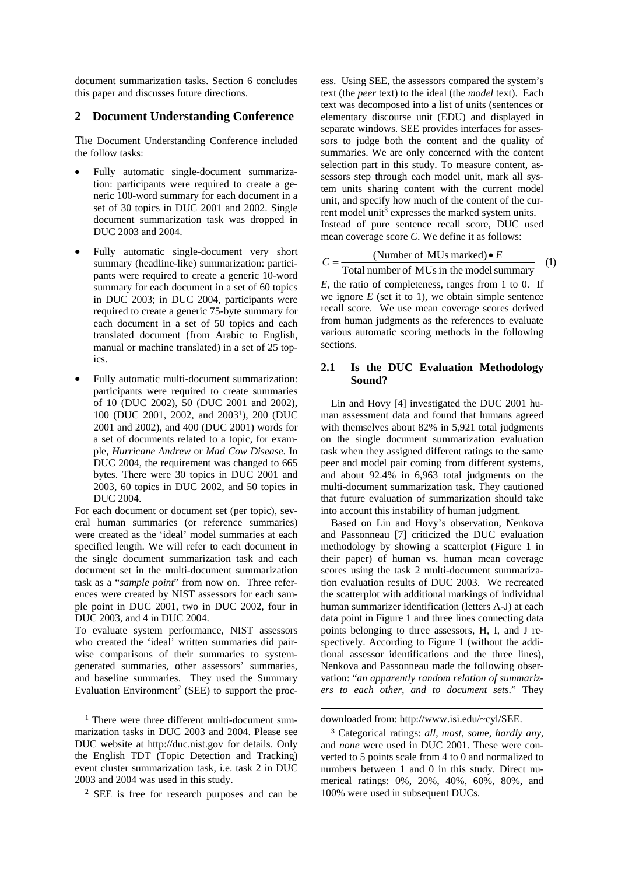document summarization tasks. Section 6 concludes this paper and discusses future directions.

### **2 Document Understanding Conference**

The Document Understanding Conference included the follow tasks:

- Fully automatic single-document summarization: participants were required to create a generic 100-word summary for each document in a set of 30 topics in DUC 2001 and 2002. Single document summarization task was dropped in DUC 2003 and 2004.
- Fully automatic single-document very short summary (headline-like) summarization: participants were required to create a generic 10-word summary for each document in a set of 60 topics in DUC 2003; in DUC 2004, participants were required to create a generic 75-byte summary for each document in a set of 50 topics and each translated document (from Arabic to English, manual or machine translated) in a set of 25 topics.
- Fully automatic multi-document summarization: participants were required to create summaries of 10 (DUC 2002), 50 (DUC 2001 and 2002), 100 (DUC 2001, 2002, and 20031), 200 (DUC 2001 and 2002), and 400 (DUC 2001) words for a set of documents related to a topic, for example, *Hurricane Andrew* or *Mad Cow Disease*. In DUC 2004, the requirement was changed to 665 bytes. There were 30 topics in DUC 2001 and 2003, 60 topics in DUC 2002, and 50 topics in DUC 2004.

For each document or document set (per topic), several human summaries (or reference summaries) were created as the 'ideal' model summaries at each specified length. We will refer to each document in the single document summarization task and each document set in the multi-document summarization task as a "*sample point*" from now on. Three references were created by NIST assessors for each sample point in DUC 2001, two in DUC 2002, four in DUC 2003, and 4 in DUC 2004.

To evaluate system performance, NIST assessors who created the 'ideal' written summaries did pairwise comparisons of their summaries to systemgenerated summaries, other assessors' summaries, and baseline summaries. They used the Summary Evaluation Environment<sup>2</sup> (SEE) to support the process. Using SEE, the assessors compared the system's text (the *peer* text) to the ideal (the *model* text). Each text was decomposed into a list of units (sentences or elementary discourse unit (EDU) and displayed in separate windows. SEE provides interfaces for assessors to judge both the content and the quality of summaries. We are only concerned with the content selection part in this study. To measure content, assessors step through each model unit, mark all system units sharing content with the current model unit, and specify how much of the content of the current model unit<sup>3</sup> expresses the marked system units. Instead of pure sentence recall score, DUC used mean coverage score *C*. We define it as follows:

$$
C = \frac{\text{(Number of MUs marked)} \bullet E}{\text{Total number of MUs in the model summary}} \quad (1)
$$

*E*, the ratio of completeness, ranges from 1 to 0. If we ignore  $E$  (set it to 1), we obtain simple sentence recall score. We use mean coverage scores derived from human judgments as the references to evaluate various automatic scoring methods in the following sections.

### **2.1 Is the DUC Evaluation Methodology Sound?**

Lin and Hovy [4] investigated the DUC 2001 human assessment data and found that humans agreed with themselves about 82% in 5,921 total judgments on the single document summarization evaluation task when they assigned different ratings to the same peer and model pair coming from different systems, and about 92.4% in 6,963 total judgments on the multi-document summarization task. They cautioned that future evaluation of summarization should take into account this instability of human judgment.

Based on Lin and Hovy's observation, Nenkova and Passonneau [7] criticized the DUC evaluation methodology by showing a scatterplot (Figure 1 in their paper) of human vs. human mean coverage scores using the task 2 multi-document summarization evaluation results of DUC 2003. We recreated the scatterplot with additional markings of individual human summarizer identification (letters A-J) at each data point in Figure 1 and three lines connecting data points belonging to three assessors, H, I, and J respectively. According to Figure 1 (without the additional assessor identifications and the three lines), Nenkova and Passonneau made the following observation: "*an apparently random relation of summarizers to each other, and to document sets*." They

l

<sup>&</sup>lt;sup>1</sup> There were three different multi-document summarization tasks in DUC 2003 and 2004. Please see DUC website at http://duc.nist.gov for details. Only the English TDT (Topic Detection and Tracking) event cluster summarization task, i.e. task 2 in DUC 2003 and 2004 was used in this study.

<sup>2</sup> SEE is free for research purposes and can be

downloaded from: http://www.isi.edu/~cyl/SEE.

<sup>3</sup> Categorical ratings: *all*, *most*, *som*e, *hardly any*, and *none* were used in DUC 2001. These were converted to 5 points scale from 4 to 0 and normalized to numbers between 1 and 0 in this study. Direct numerical ratings: 0%, 20%, 40%, 60%, 80%, and 100% were used in subsequent DUCs.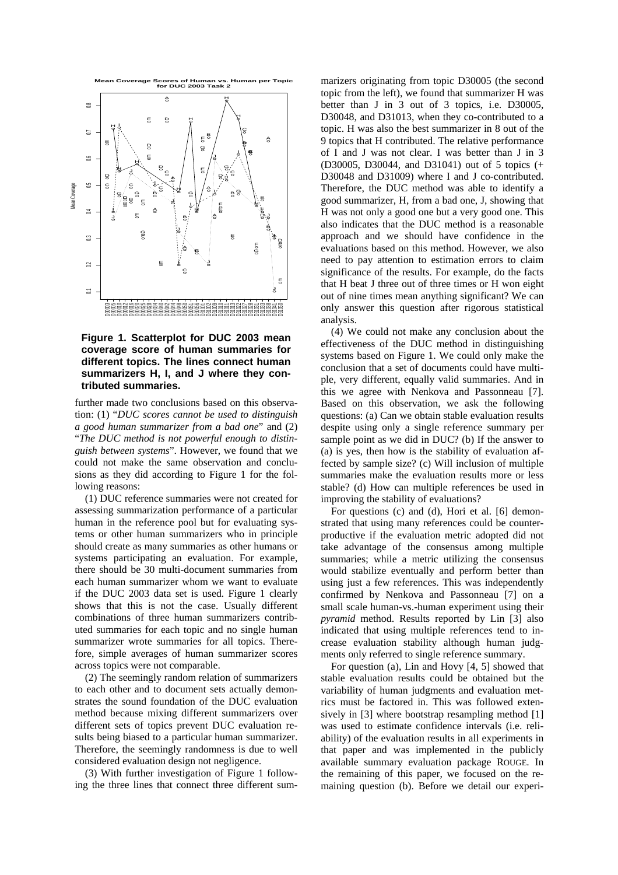

**Figure 1. Scatterplot for DUC 2003 mean coverage score of human summaries for different topics. The lines connect human summarizers H, I, and J where they contributed summaries.** 

further made two conclusions based on this observation: (1) "*DUC scores cannot be used to distinguish a good human summarizer from a bad one*" and (2) "*The DUC method is not powerful enough to distinguish between systems*". However, we found that we could not make the same observation and conclusions as they did according to Figure 1 for the following reasons:

(1) DUC reference summaries were not created for assessing summarization performance of a particular human in the reference pool but for evaluating systems or other human summarizers who in principle should create as many summaries as other humans or systems participating an evaluation. For example, there should be 30 multi-document summaries from each human summarizer whom we want to evaluate if the DUC 2003 data set is used. Figure 1 clearly shows that this is not the case. Usually different combinations of three human summarizers contributed summaries for each topic and no single human summarizer wrote summaries for all topics. Therefore, simple averages of human summarizer scores across topics were not comparable.

(2) The seemingly random relation of summarizers to each other and to document sets actually demonstrates the sound foundation of the DUC evaluation method because mixing different summarizers over different sets of topics prevent DUC evaluation results being biased to a particular human summarizer. Therefore, the seemingly randomness is due to well considered evaluation design not negligence.

(3) With further investigation of Figure 1 following the three lines that connect three different summarizers originating from topic D30005 (the second topic from the left), we found that summarizer H was better than J in 3 out of 3 topics, i.e. D30005, D30048, and D31013, when they co-contributed to a topic. H was also the best summarizer in 8 out of the 9 topics that H contributed. The relative performance of I and J was not clear. I was better than J in 3 (D30005, D30044, and D31041) out of 5 topics (+ D30048 and D31009) where I and J co-contributed. Therefore, the DUC method was able to identify a good summarizer, H, from a bad one, J, showing that H was not only a good one but a very good one. This also indicates that the DUC method is a reasonable approach and we should have confidence in the evaluations based on this method. However, we also need to pay attention to estimation errors to claim significance of the results. For example, do the facts that H beat J three out of three times or H won eight out of nine times mean anything significant? We can only answer this question after rigorous statistical analysis.

(4) We could not make any conclusion about the effectiveness of the DUC method in distinguishing systems based on Figure 1. We could only make the conclusion that a set of documents could have multiple, very different, equally valid summaries. And in this we agree with Nenkova and Passonneau [7]. Based on this observation, we ask the following questions: (a) Can we obtain stable evaluation results despite using only a single reference summary per sample point as we did in DUC? (b) If the answer to (a) is yes, then how is the stability of evaluation affected by sample size? (c) Will inclusion of multiple summaries make the evaluation results more or less stable? (d) How can multiple references be used in improving the stability of evaluations?

For questions (c) and (d), Hori et al. [6] demonstrated that using many references could be counterproductive if the evaluation metric adopted did not take advantage of the consensus among multiple summaries; while a metric utilizing the consensus would stabilize eventually and perform better than using just a few references. This was independently confirmed by Nenkova and Passonneau [7] on a small scale human-vs.-human experiment using their *pyramid* method. Results reported by Lin [3] also indicated that using multiple references tend to increase evaluation stability although human judgments only referred to single reference summary.

For question (a), Lin and Hovy [4, 5] showed that stable evaluation results could be obtained but the variability of human judgments and evaluation metrics must be factored in. This was followed extensively in [3] where bootstrap resampling method [1] was used to estimate confidence intervals (i.e. reliability) of the evaluation results in all experiments in that paper and was implemented in the publicly available summary evaluation package ROUGE. In the remaining of this paper, we focused on the remaining question (b). Before we detail our experi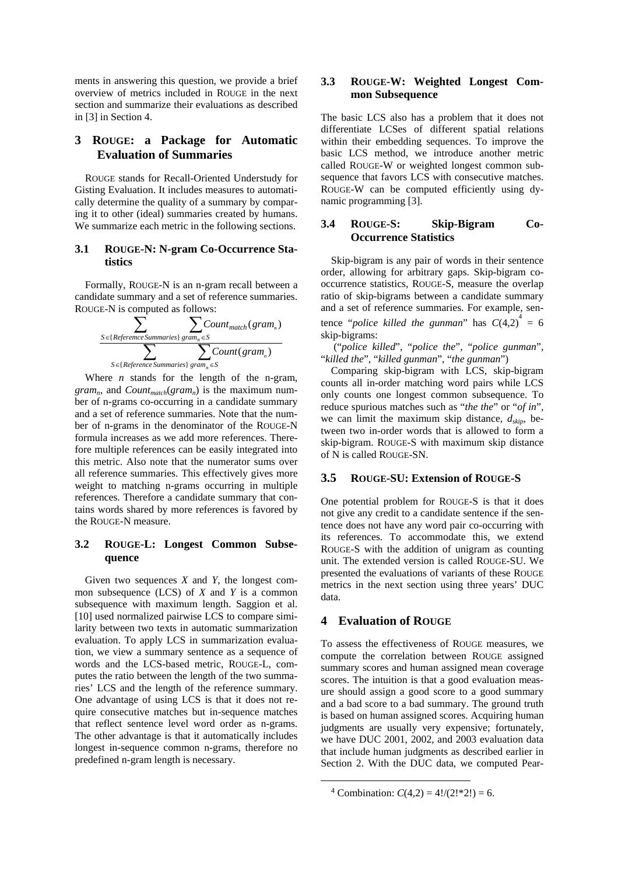ments in answering this question, we provide a brief overview of metrics included in ROUGE in the next section and summarize their evaluations as described in [3] in Section 4.

## **3 ROUGE: a Package for Automatic Evaluation of Summaries**

ROUGE stands for Recall-Oriented Understudy for Gisting Evaluation. It includes measures to automatically determine the quality of a summary by comparing it to other (ideal) summaries created by humans. We summarize each metric in the following sections.

### **3.1 ROUGE-N: N-gram Co-Occurrence Statistics**

Formally, ROUGE-N is an n-gram recall between a candidate summary and a set of reference summaries. ROUGE-N is computed as follows:

$$
\sum_{S \in \{Reference\,Summaries\}} \sum_{gram_n \in S} Count_{match}(gram_n)
$$
  

$$
\sum_{S \in \{Reference\,Summaries\}} \sum_{gram_n \in S} Count(gram_n)
$$

Where *n* stands for the length of the n-gram, *gram<sub>n</sub>*, and *Count<sub>match</sub>*(*gram<sub>n</sub>*) is the maximum number of n-grams co-occurring in a candidate summary and a set of reference summaries. Note that the number of n-grams in the denominator of the ROUGE-N formula increases as we add more references. Therefore multiple references can be easily integrated into this metric. Also note that the numerator sums over all reference summaries. This effectively gives more weight to matching n-grams occurring in multiple references. Therefore a candidate summary that contains words shared by more references is favored by the ROUGE-N measure.

### **3.2 ROUGE-L: Longest Common Subsequence**

Given two sequences *X* and *Y*, the longest common subsequence (LCS) of *X* and *Y* is a common subsequence with maximum length. Saggion et al. [10] used normalized pairwise LCS to compare similarity between two texts in automatic summarization evaluation. To apply LCS in summarization evaluation, we view a summary sentence as a sequence of words and the LCS-based metric, ROUGE-L, computes the ratio between the length of the two summaries' LCS and the length of the reference summary. One advantage of using LCS is that it does not require consecutive matches but in-sequence matches that reflect sentence level word order as n-grams. The other advantage is that it automatically includes longest in-sequence common n-grams, therefore no predefined n-gram length is necessary.

## **3.3 ROUGE-W: Weighted Longest Common Subsequence**

The basic LCS also has a problem that it does not differentiate LCSes of different spatial relations within their embedding sequences. To improve the basic LCS method, we introduce another metric called ROUGE-W or weighted longest common subsequence that favors LCS with consecutive matches. ROUGE-W can be computed efficiently using dynamic programming [3].

### **3.4 ROUGE-S: Skip-Bigram Co-Occurrence Statistics**

Skip-bigram is any pair of words in their sentence order, allowing for arbitrary gaps. Skip-bigram cooccurrence statistics, ROUGE-S, measure the overlap ratio of skip-bigrams between a candidate summary and a set of reference summaries. For example, sentence "*police killed the gunman*" has  $C(4,2)^4 = 6$ skip-bigrams:

 ("*police killed*", "*police the*", "*police gunman*", "*killed the*", "*killed gunman*", "*the gunman*")

Comparing skip-bigram with LCS, skip-bigram counts all in-order matching word pairs while LCS only counts one longest common subsequence. To reduce spurious matches such as "*the the*" or "*of in*", we can limit the maximum skip distance,  $d_{skip}$ , between two in-order words that is allowed to form a skip-bigram. ROUGE-S with maximum skip distance of N is called ROUGE-SN.

#### **3.5 ROUGE-SU: Extension of ROUGE-S**

One potential problem for ROUGE-S is that it does not give any credit to a candidate sentence if the sentence does not have any word pair co-occurring with its references. To accommodate this, we extend ROUGE-S with the addition of unigram as counting unit. The extended version is called ROUGE-SU. We presented the evaluations of variants of these ROUGE metrics in the next section using three years' DUC data.

## **4 Evaluation of ROUGE**

To assess the effectiveness of ROUGE measures, we compute the correlation between ROUGE assigned summary scores and human assigned mean coverage scores. The intuition is that a good evaluation measure should assign a good score to a good summary and a bad score to a bad summary. The ground truth is based on human assigned scores. Acquiring human judgments are usually very expensive; fortunately, we have DUC 2001, 2002, and 2003 evaluation data that include human judgments as described earlier in Section 2. With the DUC data, we computed Pear-

<sup>&</sup>lt;sup>4</sup> Combination:  $C(4,2) = 4!/(2!*2!) = 6.$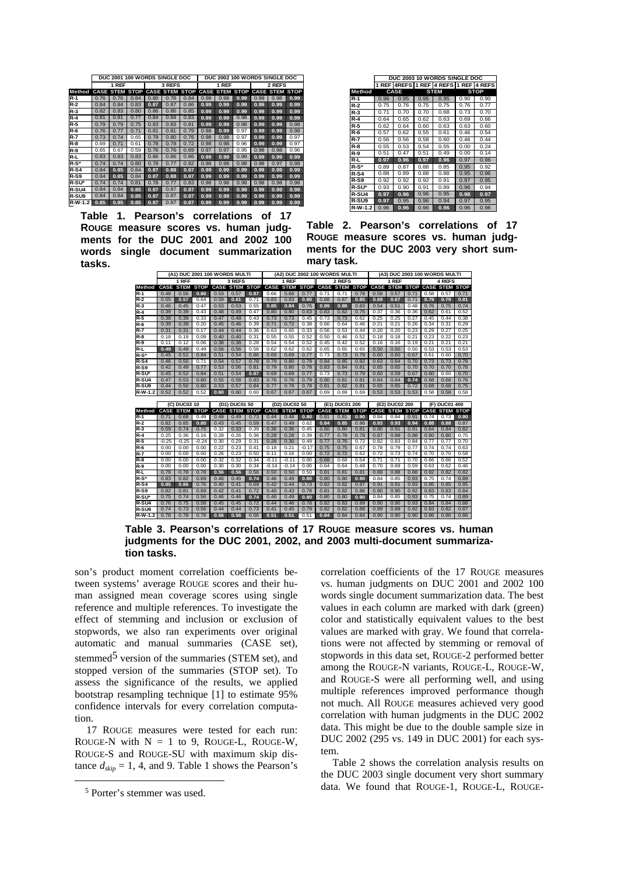|             |      |                  | DUC 2001 100 WORDS SINGLE DOC |      |        |                          |      |       | DUC 2002 100 WORDS SINGLE DOC |      |                       |      |
|-------------|------|------------------|-------------------------------|------|--------|--------------------------|------|-------|-------------------------------|------|-----------------------|------|
|             |      | 1 REF            |                               |      | 3 REFS |                          |      | 1 REF |                               |      | 2 REFS                |      |
| Method      |      | <b>CASE STEM</b> | <b>STOP</b>                   |      |        | CASE STEM STOP CASE STEM |      |       | <b>STOP</b>                   |      | <b>CASE STEM STOP</b> |      |
| $R-1$       | 0.76 | 0.76             | 0.84                          | 0.80 | 0.78   | 0.84                     | 0.98 | 0.98  | 0.99                          | 0.98 | 0.98                  | 0.99 |
| $R-2$       | 0.84 | 0.84             | 0.83                          | 0.87 | 0.87   | 0.86                     | 0.99 | 0.99  | 0.99                          | 0.99 | 0.99                  | 0.99 |
| $R-3$       | 0.82 | 0.83             | 0.80                          | 0.86 | 0.86   | 0.85                     | 0.99 | 0.99  | 0.99                          | 0.99 | 0.99                  | 0.99 |
| $R-4$       | 0.81 | 0.81             | 0.77                          | 0.84 | 0.84   | 0.83                     | 0.99 | 0.99  | 0.98                          | 0.99 | 0.99                  | 0.99 |
| R-5         | 0.79 | 0.79             | 0.75                          | 0.83 | 0.83   | 0.81                     | 0.99 | 0.99  | 0.98                          | 0.99 | 0.99                  | 0.98 |
| R-6         | 0.76 | 0.77             | 0.71                          | 0.81 | 0.81   | 0.79                     | 0.98 | 0.99  | 0.97                          | 0.99 | 0.99                  | 0.98 |
| R-7         | 0.73 | 0.74             | 0.65                          | 0.79 | 0.80   | 0.76                     | 0.98 | 0.98  | 0.97                          | 0.99 | 0.99                  | 0.97 |
| R-8         | 0.69 | 0.71             | 0.61                          | 0.78 | 0.78   | 0.72                     | 0.98 | 0.98  | 0.96                          | 0.99 | 0.99                  | 0.97 |
| <b>R-9</b>  | 0.65 | 0.67             | 0.59                          | 0.76 | 0.76   | 0.69                     | 0.97 | 0.97  | 0.95                          | 0.98 | 0.98                  | 0.96 |
| R-L         | 0.83 | 0.83             | 0.83                          | 0.86 | 0.86   | 0.86                     | 0.99 | 0.99  | 0.99                          | 0.99 | 0.99                  | 0.99 |
| $R-S^*$     | 0.74 | 0.74             | 0.80                          | 0.78 | 0.77   | 0.82                     | 0.98 | 0.98  | 0.98                          | 0.98 | 0.97                  | 0.98 |
| <b>R-S4</b> | 0.84 | 0.85             | 0.84                          | 0.87 | 0.88   | 0.87                     | 0.99 | 0.99  | 0.99                          | 0.99 | 0.99                  | 0.99 |
| R-S9        | 0.84 | 0.85             | 0.84                          | 0.87 | 0.88   | 0.87                     | 0.99 | 0.99  | 0.99                          | 0.99 | 0.99                  | 0.99 |
| R-SU*       | 0.74 | 0.74             | 0.81                          | 0.78 | 0.77   | 0.83                     | 0.98 | 0.98  | 0.98                          | 0.98 | 0.98                  | 0.98 |
| R-SU4       | 0.84 | 0.84             | 0.85                          | 0.87 | 0.87   | 0.87                     | 0.99 | 0.99  | 0.99                          | 0.99 | 0.99                  | 0.99 |
| R-SU9       | 0.84 | 0.84             | 0.85                          | 0.87 | 0.87   | 0.87                     | 0.99 | 0.99  | 0.99                          | 0.99 | 0.99                  | 0.99 |
| R-W-1.2     | 0.85 | 0.85             | 0.85                          | 0.87 | 0.87   | 0.87                     | 0.99 | 0.99  | 0.99                          | 0.99 | 0.99                  | 0.99 |

**Table 1. Pearson's correlations of 17 ROUGE measure scores vs. human judgments for the DUC 2001 and 2002 100 words single document summarization tasks.**

|             |      |             |      | DUC 2003 10 WORDS SINGLE DOC   |      |             |
|-------------|------|-------------|------|--------------------------------|------|-------------|
|             |      |             |      | 1 REF 4REFS 1 REF 4 REFS 1 REF |      | 4 REFS      |
|             |      |             |      |                                |      |             |
| Method      |      | <b>CASE</b> |      | <b>STEM</b>                    |      | <b>STOP</b> |
| R-1         | 0.96 | 0.95        | 0.95 | 0.95                           | 0.90 | 0.90        |
| $R-2$       | 0.75 | 0.76        | 0.75 | 0.75                           | 0.76 | 0.77        |
| R-3         | 0.71 | 0.70        | 0.70 | 0.68                           | 0.73 | 0.70        |
| $R-4$       | 0.64 | 0.65        | 0.62 | 0.63                           | 0.69 | 0.66        |
| R-5         | 0.62 | 0.64        | 0.60 | 0.63                           | 0.63 | 0.60        |
| $R-6$       | 0.57 | 0.62        | 0.55 | 0.61                           | 0.46 | 0.54        |
| R-7         | 0.56 | 0.56        | 0.58 | 0.60                           | 0.46 | 0.44        |
| $R-8$       | 0.55 | 0.53        | 0.54 | 0.55                           | 0.00 | 0.24        |
| R-9         | 0.51 | 0.47        | 0.51 | 0.49                           | 0.00 | 0.14        |
| R-L         | 0.97 | 0.96        | 0.97 | 0.96                           | 0.97 | 0.96        |
| R-S*        | 0.89 | 0.87        | 0.88 | 0.85                           | 0.95 | 0.92        |
| <b>R-S4</b> | 0.88 | 0.89        | 0.88 | 0.88                           | 0.95 | 0.96        |
| R-S9        | 0.92 | 0.92        | 0.92 | 0.91                           | 0.97 | 0.95        |
| R-SU*       | 0.93 | 0.90        | 0.91 | 0.89                           | 0.96 | 0.94        |
| R-SU4       | 0.97 | 0.96        | 0.96 | 0.95                           | 0.98 | 0.97        |
| R-SU9       | 0.97 | 0.95        | 0.96 | 0.94                           | 0.97 | 0.95        |
| R-W-1.2     | 0.96 | 0.96        | 0.96 | 0.96                           | 0.96 | 0.96        |

**Table 2. Pearson's correlations of 17 ROUGE measure scores vs. human judgments for the DUC 2003 very short summary task.**

|                   |         |                  |             | (A1) DUC 2001 100 WORDS MULTI |                       |                       |         |                                        | (A2) DUC 2002 100 WORDS MULTI |      |                       |      |                               | (A3) DUC 2003 100 WORDS MULTI |      |        |               |      |  |
|-------------------|---------|------------------|-------------|-------------------------------|-----------------------|-----------------------|---------|----------------------------------------|-------------------------------|------|-----------------------|------|-------------------------------|-------------------------------|------|--------|---------------|------|--|
|                   |         | 1 RFF            |             |                               | 3 REFS                |                       |         | 1 REF                                  |                               |      | 2 REFS                |      |                               | 1 REF                         |      | 4 REFS |               |      |  |
| Method            |         | <b>CASE STEM</b> | <b>STOP</b> |                               |                       | <b>CASE STEM STOP</b> |         | <b>CASE STEM</b>                       | <b>STOP</b>                   |      | <b>CASE STEM STOP</b> |      | CASE STEM STOP CASE STEM STOP |                               |      |        |               |      |  |
| $R-1$             | 0.48    | 0.56             | 0.86        | 0.53                          | 0.57                  | 0.87                  | 0.66    | 0.66                                   | 0.77                          | 0.71 | 0.71                  | 0.78 | 0.58                          | 0.57                          | 0.71 | 0.58   | 0.57          | 0.71 |  |
| $R-2$             | 0.55    | 0.57             | 0.64        | 0.59                          | 0.61                  | 0.71                  | 0.83    | 0.83                                   | 0.80                          | 0.88 | 0.87                  | 0.85 | 0.69                          | 0.67                          | 0.71 | 0.79   | 0.79          | 0.81 |  |
| $R-3$             | 0.46    | 0.45             | 0.47        | 0.53                          | 0.53                  | 0.55                  | 0.85    | 0.84                                   | 0.76                          | 0.89 | 0.88                  | 0.83 | 0.54                          | 0.51                          | 0.48 | 0.76   | 0.75          | 0.74 |  |
| $R-4$             | 0.39    | 0.39             | 0.43        | 0.48                          | 0.49                  | 0.47                  | 0.80    | 0.80                                   | 0.63                          | 0.83 | 0.82                  | 0.75 | 0.37                          | 0.36                          | 0.36 | 0.62   | 0.61          | 0.52 |  |
| $R-5$             | 0.38    | 0.39             | 0.33        | 0.47                          | 0.48                  | 0.43                  | 0.73    | 0.73                                   | 0.45                          | 0.73 | 0.73                  | 0.62 | 0.25                          | 0.25                          | 0.27 | 0.45   | 0.44          | 0.38 |  |
| $R-6$             | 0.39    | 0.39             | 0.20        | 0.45                          | 0.46                  | 0.39                  | 0.71    | 0.72                                   | 0.38                          | 0.66 | 0.64                  | 0.46 | 0.21                          | 0.21                          | 0.26 | 0.34   | 0.31          | 0.29 |  |
| $R-7$             | 0.31    | 0.31             | 0.17        | 0.44                          | 0.44                  | 0.36                  | 0.63    | 0.65                                   | 0.33                          | 0.56 | 0.53                  | 0.44 | 0.20                          | 0.20                          | 0.23 | 0.29   | 0.27          | 0.25 |  |
| $R-8$             | 0.18    | 0.19             | 0.09        | 0.40                          | 0.40                  | 0.31                  | 0.55    | 0.55                                   | 0.52                          | 0.50 | 0.46                  | 0.52 | 0.18                          | 0.18                          | 0.21 | 0.23   | 0.22          | 0.23 |  |
| $R-9$             | 0.11    | 0.12             | 0.06        | 0.38                          | 0.38                  | 0.28                  | 0.54    | 0.54                                   | 0.52                          | 0.45 | 0.42                  | 0.52 | 0.16                          | 0.16                          | 0.19 | 0.21   | 0.21          | 0.21 |  |
| $R-L$             | 0.49    | 0.49             | 0.49        | 0.56                          | 0.56                  | 0.56                  | 0.62    | 0.62                                   | 0.62                          | 0.65 | 0.65                  | 0.65 | 0.50                          | 0.50                          | 0.50 | 0.53   | 0.53          | 0.53 |  |
| $R-S^*$           | 0.45    | 0.52             | 0.84        | 0.51                          | 0.54                  | 0.86                  | 0.69    | 0.69                                   | 0.77                          | 0.73 | 0.73                  | 0.79 | 0.60                          | 0.60                          | 0.67 | 0.61   | 0.60          | 0.70 |  |
| $R-S4$            | 0.46    | 0.50             | 0.71        | 0.54                          | 0.57                  | 0.78                  | 0.79    | 0.80                                   | 0.79                          | 0.84 | 0.85                  | 0.82 | 0.63                          | 0.64                          | 0.70 | 0.73   | 0.73          | 0.78 |  |
| <b>R-S9</b>       | 0.42    | 0.49             | 0.77        | 0.53                          | 0.56                  | 0.81                  | 0.79    | 0.80                                   | 0.78                          | 0.83 | 0.84                  | 0.81 | 0.65                          | 0.65                          | 0.70 | 0.70   | 0.70          | 0.76 |  |
| R-SU*             | 0.45    | 0.52             | 0.84        | 0.51                          | 0.54                  | 0.87                  | 0.69    | 0.69                                   | 0.77                          | 0.73 | 0.73                  | 0.79 | 0.60                          | 0.59                          | 0.67 | 0.60   | 0.60          | 0.70 |  |
| R-SU4             | 0.47    | 0.53             | 0.80        | 0.55                          | 0.58                  | 0.83                  | 0.76    | 0.76                                   | 0.79                          | 0.80 | 0.81                  | 0.81 | 0.64                          | 0.64                          | 0.74 | 0.68   | 0.68          | 0.76 |  |
| R-SU <sub>9</sub> | 0.44    | 0.50             | 0.80        | 0.53                          | 0.57                  | 0.84                  | 0.77    | 0.78                                   | 0.78                          | 0.81 | 0.82                  | 0.81 | 0.65                          | 0.65                          | 0.72 | 0.68   | 0.68          | 0.75 |  |
| R-W-1.2           | 0.52    | 0.52             | 0.52        | 0.60                          | 0.60                  | 0.60                  | 0.67    | 0.67                                   | 0.67                          | 0.69 | 0.69                  | 0.69 | 0.53                          | 0.53                          | 0.53 | 0.58   | 0.58          | 0.58 |  |
|                   |         |                  |             |                               |                       |                       |         |                                        |                               |      |                       |      |                               |                               |      |        |               |      |  |
|                   |         | (C) DUC02 10     |             |                               | (D1) DUC01 50         |                       |         | (D <sub>2</sub> ) DUC <sub>02</sub> 50 |                               |      | (E1) DUC01 200        |      |                               | (E2) DUC02 200                |      |        | (F) DUC01 400 |      |  |
| Method            |         | <b>CASE STEM</b> | <b>STOP</b> |                               | <b>CASE STEM STOP</b> |                       |         | <b>CASE STEM</b>                       | <b>STOP</b>                   |      | <b>CASE STEM STOP</b> |      |                               | CASE STEM STOP CASE STEM STOP |      |        |               |      |  |
| $R-1$             | 0.71    | 0.68             | 0.49        | 0.49                          | 0.49                  | 0.73                  | 0.44    | 0.48                                   | 0.80                          | 0.81 | 0.81                  | 0.90 | 0.84                          | 0.84                          | 0.91 | 0.74   | 0.73          | 0.90 |  |
| $R-2$             | 0.82    | 0.85             | 0.80        | 0.43                          | 0.45                  | 0.59                  | 0.47    | 0.49                                   | 0.62                          | 0.84 | 0.85                  | 0.86 | 0.93                          | 0.93                          | 0.94 | 0.88   | 0.88          | 0.87 |  |
| $R-3$             | 0.59    | 0.74             | 0.75        | 0.32                          | 0.33                  | 0.39                  | 0.36    | 0.36                                   | 0.45                          | 0.80 | 0.80                  | 0.81 | 0.90                          | 0.91                          | 0.91 | 0.84   | 0.84          | 0.82 |  |
| $R-4$             | 0.25    | 0.36             | 0.16        | 0.28                          | 0.26                  | 0.36                  | 0.28    | 0.28                                   | 0.39                          | 0.77 | 0.78                  | 0.78 | 0.87                          | 0.88                          | 0.88 | 0.80   | 0.80          | 0.75 |  |
| $R-5$             | $-0.25$ | $-0.25$          | $-0.24$     | 0.30                          | 0.29                  | 0.31                  | 0.28    | 0.30                                   | 0.49                          | 0.77 | 0.76                  | 0.72 | 0.82                          | 0.83                          | 0.84 | 0.77   | 0.77          | 0.70 |  |
| $R-6$             | 0.00    | 0.00             | 0.00        | 0.22                          | 0.23                  | 0.41                  | 0.18    | 0.21                                   | $-0.17$                       | 0.75 | 0.75                  | 0.67 | 0.78                          | 0.79                          | 0.77 | 0.74   | 0.74          | 0.63 |  |
| $R-7$             | 0.00    | 0.00             | 0.00        | 0.26                          | 0.23                  | 0.50                  | 0.11    | 0.16                                   | 0.00                          | 0.72 | 0.72                  | 0.62 | 0.72                          | 0.73                          | 0.74 | 0.70   | 0.70          | 0.58 |  |
| $R-8$             | 0.00    | 0.00             | 0.00        | 0.32                          | 0.32                  | 0.34                  | $-0.11$ | $-0.11$                                | 0.00                          | 0.68 | 0.68                  | 0.54 | 0.71                          | 0.71                          | 0.70 | 0.66   | 0.66          | 0.52 |  |
| $R-9$             | 0.00    | 0.00             | 0.00        | 0.30                          | 0.30                  | 0.34                  | $-0.14$ | $-0.14$                                | 0.00                          | 0.64 | 0.64                  | 0.48 | 0.70                          | 0.69                          | 0.59 | 0.63   | 0.62          | 0.46 |  |
| R-L               | 0.78    | 0.78             | 0.78        | 0.56                          | 0.56                  | 0.56                  | 0.50    | 0.50                                   | 0.50                          | 0.81 | 0.81                  | 0.81 | 0.88                          | 0.88                          | 0.88 | 0.82   | 0.82          | 0.82 |  |
| $R-S^*$           | 0.83    | 0.82             | 0.69        | 0.46                          | 0.45                  | 0.74                  | 0.46    | 0.49                                   | 0.80                          | 0.80 | 0.80                  | 0.90 | 0.84                          | 0.85                          | 0.93 | 0.75   | 0.74          | 0.89 |  |
| $R-S4$            | 0.85    | 0.86             | 0.76        | 0.40                          | 0.41                  | 0.69                  | 0.42    | 0.44                                   | 0.73                          | 0.82 | 0.82                  | 0.87 | 0.91                          | 0.91                          | 0.93 | 0.85   | 0.85          | 0.85 |  |
| <b>R-S9</b>       | 0.82    | 0.81             | 0.69        | 0.42                          | 0.41                  | 0.72                  | 0.40    | 0.43                                   | 0.78                          | 0.81 | 0.82                  | 0.86 | 0.90                          | 0.90                          | 0.92 | 0.83   | 0.83          | 0.84 |  |
| R-SU*             | 0.75    | 0.74             | 0.56        | 0.46                          | 0.46                  | 0.74                  | 0.46    | 0.49                                   | 0.80                          | 0.80 | 0.80                  | 0.90 | 0.84                          | 0.85                          | 0.93 | 0.75   | 0.74          | 0.89 |  |
| R-SU4             | 0.76    | 0.75             | 0.58        | 0.45                          | 0.45                  | 0.72                  | 0.44    | 0.46                                   | 0.78                          | 0.82 | 0.83                  | 0.89 | 0.90                          | 0.90                          | 0.93 | 0.84   | 0.84          | 0.88 |  |
| R-SU9             | 0.74    | 0.73             | 0.56        | 0.44                          | 0.44                  | 0.73                  | 0.41    | 0.45                                   | 0.79                          | 0.82 | 0.82                  | 0.88 | 0.89                          | 0.89                          | 0.92 | 0.83   | 0.82          | 0.87 |  |
| R-W-1.2           | 0.78    | 0.78             | 0.78        | 0.56                          | 0.56                  | 0.56                  | 0.51    | 0.51                                   | 0.51                          | 0.84 | 0.84                  | 0.84 | 0.90                          | 0.90                          | 0.90 | 0.86   | 0.86          | 0.86 |  |

**Table 3. Pearson's correlations of 17 ROUGE measure scores vs. human judgments for the DUC 2001, 2002, and 2003 multi-document summarization tasks.**

son's product moment correlation coefficients between systems' average ROUGE scores and their human assigned mean coverage scores using single reference and multiple references. To investigate the effect of stemming and inclusion or exclusion of stopwords, we also ran experiments over original automatic and manual summaries (CASE set), stemmed<sup>5</sup> version of the summaries (STEM set), and stopped version of the summaries (STOP set). To assess the significance of the results, we applied bootstrap resampling technique [1] to estimate 95% confidence intervals for every correlation computation.

17 ROUGE measures were tested for each run: ROUGE-N with  $N = 1$  to 9, ROUGE-L, ROUGE-W, ROUGE-S and ROUGE-SU with maximum skip distance  $d_{skip} = 1, 4,$  and 9. Table 1 shows the Pearson's correlation coefficients of the 17 ROUGE measures vs. human judgments on DUC 2001 and 2002 100 words single document summarization data. The best values in each column are marked with dark (green) color and statistically equivalent values to the best values are marked with gray. We found that correlations were not affected by stemming or removal of stopwords in this data set, ROUGE-2 performed better among the ROUGE-N variants, ROUGE-L, ROUGE-W, and ROUGE-S were all performing well, and using multiple references improved performance though not much. All ROUGE measures achieved very good correlation with human judgments in the DUC 2002 data. This might be due to the double sample size in DUC 2002 (295 vs. 149 in DUC 2001) for each system.

Table 2 shows the correlation analysis results on the DUC 2003 single document very short summary data. We found that ROUGE-1, ROUGE-L, ROUGE-

 <sup>5</sup> Porter's stemmer was used.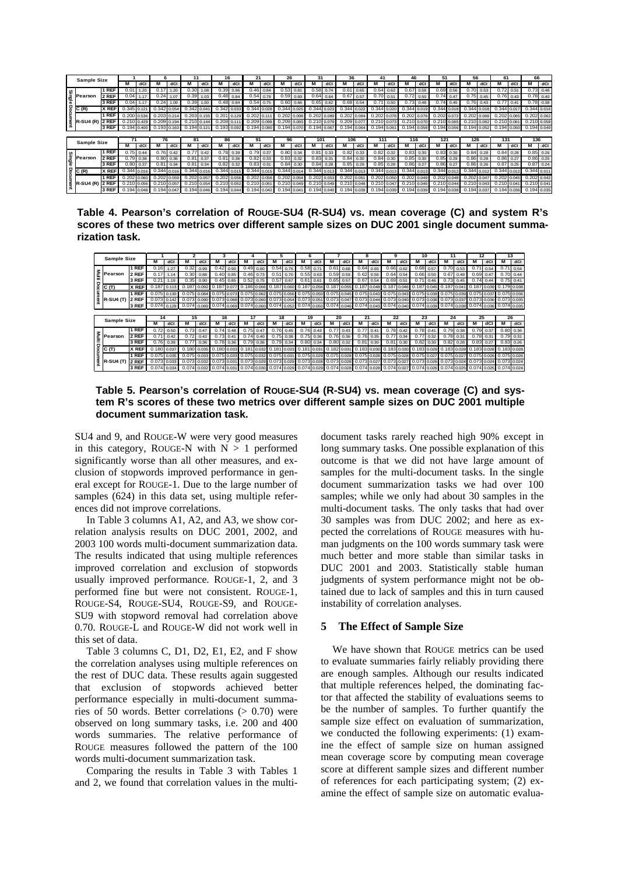|       | <b>Sample Size</b>                 |       |               |       | Բ                 |             |               |       | 16              |       | 21              |       | 26            |       | 31          |       | 36            |           | 41            |       | 46                |                 | 51            |      | 56              |      | 61              |             | 66              |             |
|-------|------------------------------------|-------|---------------|-------|-------------------|-------------|---------------|-------|-----------------|-------|-----------------|-------|---------------|-------|-------------|-------|---------------|-----------|---------------|-------|-------------------|-----------------|---------------|------|-----------------|------|-----------------|-------------|-----------------|-------------|
|       |                                    |       | M             | dCl   |                   | dCl         |               | dCl   |                 | dCl   | M               | dCl   |               | dCl   | M           | dC    |               | dCl       | м             | dCl   | м                 | dC              | м             | dC   |                 | dCl  | M               | dC          | М               | dCl         |
|       | 1 REF<br>Singl<br>2 REF<br>Pearson |       | 0.01          | 1.20  | 0.17              | 1.20        | 0.30          | 1.08  | 0.39            | 0.96  | 0.46            | 0.84  | 0.53          | 0.81  | 0.58        | 0.74  | 0.61          | 0.65      | 0.64          | 0.62  | 0.67              | 0.58            | 0.69          | 0.56 | 0.70            | 0.53 | 0.72            | 0.51        |                 | $0.73$ 0.48 |
|       |                                    |       | 0.04          | 1.17  | 0.24              | 1.07        | 0.39          | 1.03  | 0.48            | 0.84  | 0.54            | 0.78  | 0.59          | 0.69  | 0.64        | 0.64  | 0.67          | 0.57      | 0.70          | 0.51  | $0.72 \quad 0.50$ |                 | 0.74          | 0.47 | 0.75            | 0.45 |                 | $0.76$ 0.43 |                 | $0.78$ 0.40 |
|       |                                    | 3 REF | 0.04          | 1.17  | 0.24              | 1.09        | 0.39          | 1.00  | 0.48            | 0.84  | 0.54            | 0.75  | 0.60          | 0.66  | 0.65        | 0.62  | 0.68          | 0.54      | 0.71          | 0.50  | 0.73              | 0.48            | 0.74          | 0.45 | 0.76            | 0.43 | 0.77            | 0.41        |                 | $0.78$ 0.38 |
|       | C(R)                               | X REF | 0.345         | 0.121 | 0.342             | 0.054       | 0.342         | 0.041 | 0.342 0.033     |       | 0.344           | 0.028 | 0.344         |       | 0.344       | 0.023 |               | 344 0.022 | 0.344         | 0.020 | 0.344 0.019       |                 | 0.344 0.018   |      | 0.344 0.018     |      | 0.344           | 0.017       | $0.344$ $0.016$ |             |
|       |                                    | 1 REF | $0.200$ 0.536 |       | $0.203$ 0.21      |             | 0.203         | 0.155 | 0.201           | 0.129 | 0.202 0.111     |       | 0.202         | 0.098 | 0.202       | 0.089 | 0.202 0.084   |           | 0.202         | 0.078 |                   | $0.202$ $0.076$ | 0.202 0.072   |      | $0.202$ 0.066   |      | 0.202           | 0.065       | 0.202 0.062     |             |
|       | <b>R-SU4 (R)</b>                   | 2 REF | $0.210$ 0.429 |       | 0.209 0.194       |             | 0.210 0.144   |       | 0.208 0.111     |       | 0.209 0.098     |       | 0.209 0.083   |       | 0.210 0.079 |       | 0.209 0.077   |           | 0.210 0.073   |       | 0.210 0.070       |                 | 0.210 0.065   |      | $0.210$ 0.062   |      | 0.210 0.061     |             | 0.210 0.058     |             |
|       |                                    | 3 REF | 0.194         |       | $0.193$ 0.163     |             | $0.194$ 0.121 |       | 0.193 0.092     |       | 0.194           | 0.080 | $0.194$ 0.070 |       | 0.194 0.067 |       | 0.194 0.064   |           | 0.194 0.061   |       | 0.194 0.058       |                 | $0.194$ 0.056 |      | $0.194$ $0.052$ |      | 0.194 0.050     |             | 0.194 0.049     |             |
|       |                                    |       |               |       |                   |             |               |       |                 |       |                 |       |               |       |             |       |               |           |               |       |                   |                 |               |      |                 |      |                 |             |                 |             |
|       |                                    |       |               |       |                   |             |               |       |                 |       |                 |       |               |       |             |       |               |           |               |       |                   |                 |               |      |                 |      |                 |             |                 |             |
|       |                                    |       | 71            |       | 76                |             | 81            |       | 86              |       | 91              |       | 96            |       | 101         |       | 106           |           | 111           |       | 116               |                 | 121           |      | 126             |      | 131             |             | 136             |             |
|       | <b>Sample Size</b>                 |       | м             | dCl   | M                 | dC          |               | dCl   |                 | dCl   | M               | dCl   | м             | dCl   | M           | dC    |               | dCl       | м             | dCl   | м                 | dCl             | м             | dCl  |                 | dCl  | M               | dCl         | м               | dCl         |
|       |                                    | 1 REF | 0.75          | 0.44  |                   | $0.76$ 0.42 | 0.77          | 0.42  | 0.78            | 0.39  | 0.79            | 0.37  | 0.80          | 0.34  | 0.81        | 0.33  | 0.82          | 0.33      | 0.82          | 0.32  | 0.83              | 0.30            | 0.83          | 0.30 | 0.84            | 0.28 | 0.84            | 0.28        |                 | $0.85$ 0.26 |
|       | Pearson                            | 2 REF | 0.79          | 0.38  | 0.80 <sub>1</sub> | 0.36        | 0.81          | 0.37  | 0.81            | 0.36  | 0.82            | 0.33  | 0.83          | 0.32  | 0.83        | 0.31  | 0.84          | 0.30      | 0.84          | 0.30  | 0.85              | 0.30            | 0.85          | 0.29 | 0.86            | 0.28 | 0.86            | 0.27        |                 | $0.86$ 0.25 |
| Singl |                                    | 3 REF | 0.80          | 0.37  | 0.81              |             | 0.81          | 0.34  | 0.82            | 0.32  | 0.83            | 0.31  | 0.84          | 0.30  | 0.84        | 0.28  | 0.85          | 0.29      | 0.85          | 0.28  | 0.86              | 0.27            | 0.86          | 0.27 | 0.86            | 0.26 | 0.87            | 0.25        | $0.87$ 0.24     |             |
|       | C(R)                               | X REF | 0.344         |       | 0.344             | 0.01        | 0.344         | 0.016 | $0.344$ $0.01$  |       | 0.344           | 0.015 | 0.344         | 0.01  | 0.344       | 0.013 | $0.344$ 0.01  |           | 0.344 0.013   |       | 0.344 0.013       |                 | 0.344 0.012   |      | 0.344 0.012     |      | 0.344           | 0.012       | 0.344 0.011     |             |
|       |                                    | 1 REF | $0.202$ 0.060 |       | $0.202$ 0.059     |             | 0.202         | 0.057 | $0.202$ $0.056$ |       | $0.202$ 0.056   |       | $0.202$ 0.054 |       | 0.202       | 0.053 | $0.202$ 0.051 |           | $0.202$ 0.050 |       | $0.202$ $0.049$   |                 | $0.202$ 0.048 |      | $0.202$ 0.047   |      | $0.202$ 0.045   |             | $0.202$ $0.042$ |             |
|       | R-SU4 (R) 2 REF                    |       | 0.210 0.056   |       | $0.210$ 0.057     |             | $0.210$ 0.054 |       | 0.210 0.052     |       | $0.210$ $0.051$ |       | 0.210 0.049   |       | 0.210 0.049 |       | 0.210 0.048   |           | 0.210 0.047   |       | 0.210 0.046       |                 | 0.210 0.044   |      | $0.210$ 0.043   |      | $0.210$ $0.041$ |             | 0.210 0.041     |             |

**Table 4. Pearson's correlation of ROUGE-SU4 (R-SU4) vs. mean coverage (C) and system R's scores of these two metrics over different sample sizes on DUC 2001 single document summarization task.** 

|                    |              |       |       |               |       | з                 |      |             |               | 5                                   |             | 6             |                   |             |             | 8           |             | 9             |               | 10            |               | 11          |                   | 12                                                                      |               |             | 13             |
|--------------------|--------------|-------|-------|---------------|-------|-------------------|------|-------------|---------------|-------------------------------------|-------------|---------------|-------------------|-------------|-------------|-------------|-------------|---------------|---------------|---------------|---------------|-------------|-------------------|-------------------------------------------------------------------------|---------------|-------------|----------------|
| <b>Sample Size</b> |              | M     | dCl   | M             | dCl   | м                 | dCl  | M           | dCl           | м                                   | dCl         | м             | dCl               | M           | dCl         | М           | dCl         | м             | dCl           | M             | dCl           | M           | dCl               | M                                                                       | dC            | M           | dCl            |
|                    | 1 REF        | 0.16  | 1.27  | 0.32          | 0.99  | 0.42              | 0.90 |             | 0.49 0.80     | 0.54                                | 0.75        | $0.58$ $0.71$ |                   | 0.61        | 0.68        | 0.64        | 0.65        | 0.66          | 0.62          | 0.68          | 0.57          | 0.70        | 0.53              | 0.71                                                                    | 0.54          | 0.71        | 0.54           |
| Pearson            | 2 REF        | 0.17  | 1.14  | 0.30          | 0.88  | $0.40 \, 0.85$    |      |             | $0.46$ 0.73   | 0.51                                | 0.70        |               | $0.55$ $0.63$     |             | $0.59$ 0.59 | 0.62        | 0.56        |               | $0.64$ $0.54$ |               | $0.66$ $0.50$ |             | $0.67$ 0.48       | $0.69$ $0.47$                                                           |               |             | $0.70 \, 0.44$ |
|                    | 3 REF        | 0.21  | 1.19  | 0.35          | 0.90  | $0.45$ 0.85       |      |             | $0.52$ 0.75   | 0.57                                | 0.67        | 0.61          | 0.61              | 0.65        | 0.57        | 0.67        | 0.54        | $0.69$ $0.51$ |               | 0.71          | 0.46          |             | $0.73 \quad 0.45$ |                                                                         | $0.74$ 0.44   |             | $0.75$ 0.41    |
| IC (T)             | X REF        | 0.187 |       | 0.187         | 0.092 | 0.187 0.077       |      |             |               | 0.186 0.066 0.187 0.060             |             | 0.187         | 0.056             | 0.187 0.055 |             | 0.187       | 0.048       | 0.187 0.046   |               | 0.187         | 0.045         |             |                   | 0.187 0.041 0.187 0.039                                                 |               | 0.179 0.038 |                |
|                    | 1 REF        | 0.075 | 0.130 | 0.075         | 0.084 | 0.075 0.073       |      | 0.075 0.062 |               | 0.075 0.056                         |             | 0.075 0.050   |                   | 0.075 0.045 |             | 0.075       | 0.043       | $0.075$ 0.043 |               |               |               | 0.075 0.039 |                   | 0.075 0.037                                                             |               |             | $0.075$ 0.036  |
| <b>R-SU4 (T)</b>   | 2 REF        | 0.073 | 0.142 | 0.073         | 0.090 | 0.073 0.068       |      |             |               | 0.073 0.060 0.073 0.054             |             | 0.073 0.051   |                   | 0.073 0.047 |             | 0.073 0.044 |             | 0.073 0.040   |               | $0.073$ 0.038 |               | 0.073 0.037 |                   | 0.073 0.036                                                             |               |             | $0.073$ 0.035  |
|                    | 3 REF        | 0.074 | 0.129 | 0.074         | 0.089 | 0.074 0.069       |      |             |               | 0.074 0.060 0.074 0.052             |             | 0.074 0.050   |                   | 0.074 0.046 |             | 0.074       | 0.043       |               |               |               |               |             |                   | 0.074 0.040 0.074 0.039 0.074 0.038 0.074 0.036                         |               | 0.074 0.035 |                |
|                    |              |       |       |               |       |                   |      |             |               |                                     |             |               |                   |             |             |             |             |               |               |               |               |             |                   |                                                                         |               |             |                |
|                    |              |       |       |               |       |                   |      |             |               |                                     |             |               |                   |             |             |             |             |               |               |               |               |             |                   |                                                                         |               |             |                |
|                    |              | 14    |       | 15            |       | 16                |      | 17          |               | 18                                  |             | 19            |                   | 20          |             | 21          |             | 22            |               | 23            |               | 24          |                   | 25                                                                      |               |             | 26             |
| <b>Sample Size</b> |              | М     | dCl   | M             | dCl   | м                 | dCl  | м           | dCl           | м                                   | dCl         | м             | dCl               | м           | dCl         | м           | dCl         | м             | dCl           | м             | dCl           | м           | dCl               | м                                                                       | dCl           | М           | dCl            |
|                    | 1 REF        | 0.72  | 0.50  | 0.73          | 0.47  | $0.74 \ 0.48$     |      | 0.75        | 0.47          |                                     | $0.76$ 0.45 |               | $0.76$ 0.43       | 0.77        | 0.43        | 0.77        | 0.41        |               | $0.78$ 0.42   | 0.78          | 0.41          | 0.79        | 0.38              | 0.79                                                                    | 0.37          |             | 0.80 0.36      |
| Pearson            | 2 REF        | 0.71  | 0.42  | 0.72          | 0.42  | $0.73$ 0.41       |      |             | $0.74$ 0.40   |                                     | $0.75$ 0.38 |               | $0.75$ 0.36       |             | $0.76$ 0.36 |             | $0.76$ 0.35 |               | $0.77$ 0.34   | 0.77          | 0.32          |             | $0.78$ 0.31       |                                                                         | $0.78$ $0.31$ |             | $0.79$ 0.31    |
|                    | 3 REF        | 0.76  | 0.39  | 0.77          | 0.36  | 0.78              | 0.36 |             | $0.79$ $0.36$ | 0.79                                | 0.34        |               | $0.80 \quad 0.34$ | 0.80        | 0.32        | 0.81        | 0.30        |               | $0.81$ $0.30$ |               | $0.82$ 0.30   | 0.82        | 0.28              | 0.83                                                                    | 0.27          |             | $0.83$ 0.26    |
| C(T)               | <b>X REF</b> | 0.180 | 0.037 | 0.180         | 0.035 | 0.180 0.033 0.181 |      |             |               | 0.032 0.181 0.033 0.181             |             |               | 0.031             | 0.182 0.031 |             | 0.183       | 0.030       |               |               |               |               |             |                   | 0.183 0.030 0.183 0.029 0.183 0.028 0.183 0.028 0.183 0.028             |               |             |                |
|                    | 1 REF        | 0.075 | 0.035 | $0.075$ 0.033 |       |                   |      |             |               | 0.075 0.033 0.075 0.032 0.075 0.031 |             | 0.075 0.029   |                   | 0.075 0.028 |             | 0.075 0.028 |             |               |               |               |               |             |                   | 0.075 0.028 0.075 0.027 0.075 0.027 0.075 0.026 0.075 0.026             |               |             |                |
| <b>R-SU4 (T)</b>   | 2 REF        | 0.073 | 0.033 | $0.073$ 0.032 |       | 0.073 0.031       |      |             |               | 0.073 0.029 0.073 0.029             |             | $0.073$ 0.028 |                   | 0.073 0.028 |             |             |             |               |               |               |               |             |                   | 0.073 0.027 0.073 0.027 0.073 0.026 0.073 0.024 0.073 0.024 0.073 0.024 |               |             |                |

**Table 5. Pearson's correlation of ROUGE-SU4 (R-SU4) vs. mean coverage (C) and system R's scores of these two metrics over different sample sizes on DUC 2001 multiple document summarization task.**

SU4 and 9, and ROUGE-W were very good measures in this category, ROUGE-N with  $N > 1$  performed significantly worse than all other measures, and exclusion of stopwords improved performance in general except for ROUGE-1. Due to the large number of samples (624) in this data set, using multiple references did not improve correlations.

In Table 3 columns A1, A2, and A3, we show correlation analysis results on DUC 2001, 2002, and 2003 100 words multi-document summarization data. The results indicated that using multiple references improved correlation and exclusion of stopwords usually improved performance. ROUGE-1, 2, and 3 performed fine but were not consistent. ROUGE-1, ROUGE-S4, ROUGE-SU4, ROUGE-S9, and ROUGE-SU9 with stopword removal had correlation above 0.70. ROUGE-L and ROUGE-W did not work well in this set of data.

Table 3 columns C, D1, D2, E1, E2, and F show the correlation analyses using multiple references on the rest of DUC data. These results again suggested that exclusion of stopwords achieved better performance especially in multi-document summaries of 50 words. Better correlations  $(> 0.70)$  were observed on long summary tasks, i.e. 200 and 400 words summaries. The relative performance of ROUGE measures followed the pattern of the 100 words multi-document summarization task.

Comparing the results in Table 3 with Tables 1 and 2, we found that correlation values in the multidocument tasks rarely reached high 90% except in long summary tasks. One possible explanation of this outcome is that we did not have large amount of samples for the multi-document tasks. In the single document summarization tasks we had over 100 samples; while we only had about 30 samples in the multi-document tasks. The only tasks that had over 30 samples was from DUC 2002; and here as expected the correlations of ROUGE measures with human judgments on the 100 words summary task were much better and more stable than similar tasks in DUC 2001 and 2003. Statistically stable human judgments of system performance might not be obtained due to lack of samples and this in turn caused instability of correlation analyses.

#### **5 The Effect of Sample Size**

We have shown that ROUGE metrics can be used to evaluate summaries fairly reliably providing there are enough samples. Although our results indicated that multiple references helped, the dominating factor that affected the stability of evaluations seems to be the number of samples. To further quantify the sample size effect on evaluation of summarization, we conducted the following experiments: (1) examine the effect of sample size on human assigned mean coverage score by computing mean coverage score at different sample sizes and different number of references for each participating system; (2) examine the effect of sample size on automatic evalua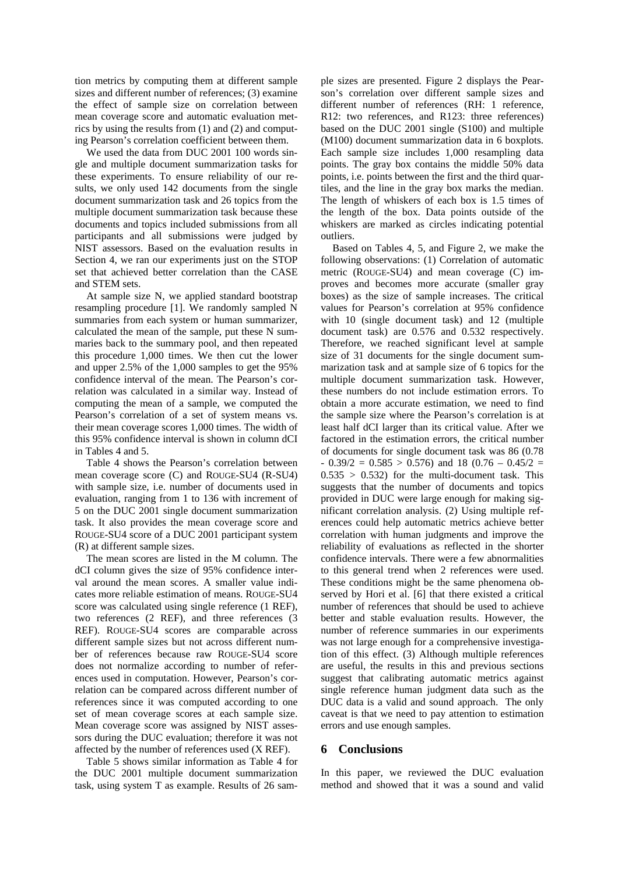tion metrics by computing them at different sample sizes and different number of references; (3) examine the effect of sample size on correlation between mean coverage score and automatic evaluation metrics by using the results from (1) and (2) and computing Pearson's correlation coefficient between them.

We used the data from DUC 2001 100 words single and multiple document summarization tasks for these experiments. To ensure reliability of our results, we only used 142 documents from the single document summarization task and 26 topics from the multiple document summarization task because these documents and topics included submissions from all participants and all submissions were judged by NIST assessors. Based on the evaluation results in Section 4, we ran our experiments just on the STOP set that achieved better correlation than the CASE and STEM sets.

At sample size N, we applied standard bootstrap resampling procedure [1]. We randomly sampled N summaries from each system or human summarizer, calculated the mean of the sample, put these N summaries back to the summary pool, and then repeated this procedure 1,000 times. We then cut the lower and upper 2.5% of the 1,000 samples to get the 95% confidence interval of the mean. The Pearson's correlation was calculated in a similar way. Instead of computing the mean of a sample, we computed the Pearson's correlation of a set of system means vs. their mean coverage scores 1,000 times. The width of this 95% confidence interval is shown in column dCI in Tables 4 and 5.

Table 4 shows the Pearson's correlation between mean coverage score (C) and ROUGE-SU4 (R-SU4) with sample size, i.e. number of documents used in evaluation, ranging from 1 to 136 with increment of 5 on the DUC 2001 single document summarization task. It also provides the mean coverage score and ROUGE-SU4 score of a DUC 2001 participant system (R) at different sample sizes.

The mean scores are listed in the M column. The dCI column gives the size of 95% confidence interval around the mean scores. A smaller value indicates more reliable estimation of means. ROUGE-SU4 score was calculated using single reference (1 REF), two references (2 REF), and three references (3 REF). ROUGE-SU4 scores are comparable across different sample sizes but not across different number of references because raw ROUGE-SU4 score does not normalize according to number of references used in computation. However, Pearson's correlation can be compared across different number of references since it was computed according to one set of mean coverage scores at each sample size. Mean coverage score was assigned by NIST assessors during the DUC evaluation; therefore it was not affected by the number of references used (X REF).

Table 5 shows similar information as Table 4 for the DUC 2001 multiple document summarization task, using system T as example. Results of 26 sample sizes are presented. Figure 2 displays the Pearson's correlation over different sample sizes and different number of references (RH: 1 reference, R12: two references, and R123: three references) based on the DUC 2001 single (S100) and multiple (M100) document summarization data in 6 boxplots. Each sample size includes 1,000 resampling data points. The gray box contains the middle 50% data points, i.e. points between the first and the third quartiles, and the line in the gray box marks the median. The length of whiskers of each box is 1.5 times of the length of the box. Data points outside of the whiskers are marked as circles indicating potential outliers.

Based on Tables 4, 5, and Figure 2, we make the following observations: (1) Correlation of automatic metric (ROUGE-SU4) and mean coverage (C) improves and becomes more accurate (smaller gray boxes) as the size of sample increases. The critical values for Pearson's correlation at 95% confidence with 10 (single document task) and 12 (multiple document task) are 0.576 and 0.532 respectively. Therefore, we reached significant level at sample size of 31 documents for the single document summarization task and at sample size of 6 topics for the multiple document summarization task. However, these numbers do not include estimation errors. To obtain a more accurate estimation, we need to find the sample size where the Pearson's correlation is at least half dCI larger than its critical value. After we factored in the estimation errors, the critical number of documents for single document task was 86 (0.78  $-$  0.39/2 = 0.585 > 0.576) and 18 (0.76 – 0.45/2 =  $0.535 > 0.532$  for the multi-document task. This suggests that the number of documents and topics provided in DUC were large enough for making significant correlation analysis. (2) Using multiple references could help automatic metrics achieve better correlation with human judgments and improve the reliability of evaluations as reflected in the shorter confidence intervals. There were a few abnormalities to this general trend when 2 references were used. These conditions might be the same phenomena observed by Hori et al. [6] that there existed a critical number of references that should be used to achieve better and stable evaluation results. However, the number of reference summaries in our experiments was not large enough for a comprehensive investigation of this effect. (3) Although multiple references are useful, the results in this and previous sections suggest that calibrating automatic metrics against single reference human judgment data such as the DUC data is a valid and sound approach. The only caveat is that we need to pay attention to estimation errors and use enough samples.

### **6 Conclusions**

In this paper, we reviewed the DUC evaluation method and showed that it was a sound and valid